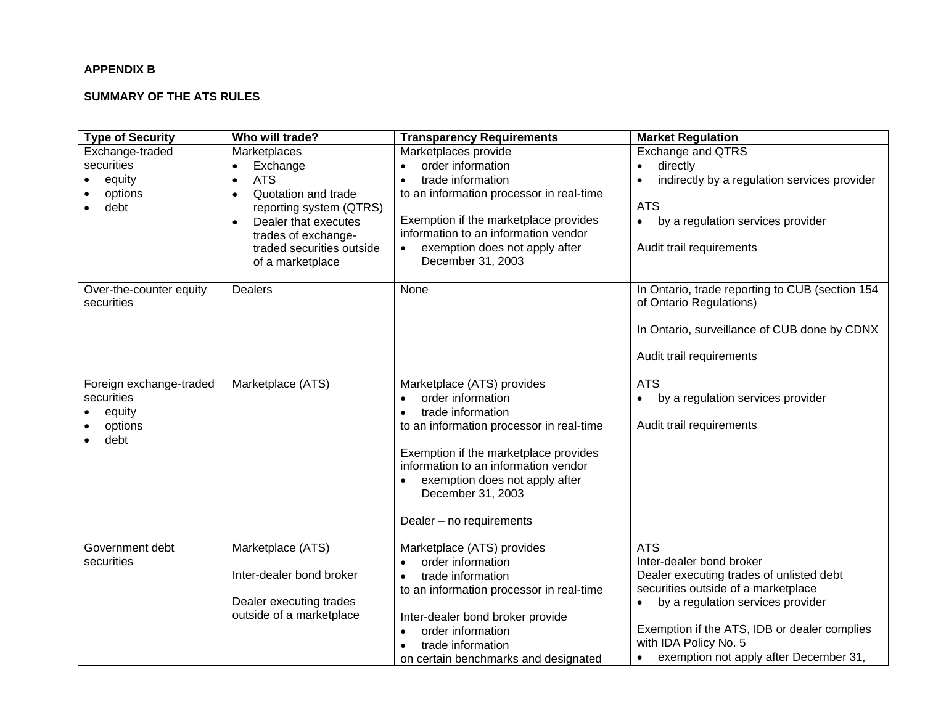## **APPENDIX B**

## **SUMMARY OF THE ATS RULES**

| <b>Type of Security</b>                                            | Who will trade?                                                                                                                                                                                                                              | <b>Transparency Requirements</b>                                                                                                                                                                                                                                                                  | <b>Market Regulation</b>                                                                                                                                                                                                                                                                       |
|--------------------------------------------------------------------|----------------------------------------------------------------------------------------------------------------------------------------------------------------------------------------------------------------------------------------------|---------------------------------------------------------------------------------------------------------------------------------------------------------------------------------------------------------------------------------------------------------------------------------------------------|------------------------------------------------------------------------------------------------------------------------------------------------------------------------------------------------------------------------------------------------------------------------------------------------|
| Exchange-traded<br>securities<br>equity<br>options<br>debt         | Marketplaces<br>Exchange<br>$\bullet$<br><b>ATS</b><br>$\bullet$<br>Quotation and trade<br>$\bullet$<br>reporting system (QTRS)<br>Dealer that executes<br>$\bullet$<br>trades of exchange-<br>traded securities outside<br>of a marketplace | Marketplaces provide<br>order information<br>$\bullet$<br>trade information<br>to an information processor in real-time<br>Exemption if the marketplace provides<br>information to an information vendor<br>exemption does not apply after<br>December 31, 2003                                   | Exchange and QTRS<br>directly<br>$\bullet$<br>indirectly by a regulation services provider<br>$\bullet$<br><b>ATS</b><br>by a regulation services provider<br>$\bullet$<br>Audit trail requirements                                                                                            |
| Over-the-counter equity<br>securities                              | <b>Dealers</b>                                                                                                                                                                                                                               | None                                                                                                                                                                                                                                                                                              | In Ontario, trade reporting to CUB (section 154<br>of Ontario Regulations)<br>In Ontario, surveillance of CUB done by CDNX<br>Audit trail requirements                                                                                                                                         |
| Foreign exchange-traded<br>securities<br>equity<br>options<br>debt | Marketplace (ATS)                                                                                                                                                                                                                            | Marketplace (ATS) provides<br>order information<br>$\bullet$<br>trade information<br>to an information processor in real-time<br>Exemption if the marketplace provides<br>information to an information vendor<br>exemption does not apply after<br>December 31, 2003<br>Dealer - no requirements | <b>ATS</b><br>by a regulation services provider<br>$\bullet$<br>Audit trail requirements                                                                                                                                                                                                       |
| Government debt<br>securities                                      | Marketplace (ATS)<br>Inter-dealer bond broker<br>Dealer executing trades<br>outside of a marketplace                                                                                                                                         | Marketplace (ATS) provides<br>order information<br>$\bullet$<br>trade information<br>$\bullet$<br>to an information processor in real-time<br>Inter-dealer bond broker provide<br>order information<br>trade information<br>on certain benchmarks and designated                                  | <b>ATS</b><br>Inter-dealer bond broker<br>Dealer executing trades of unlisted debt<br>securities outside of a marketplace<br>by a regulation services provider<br>Exemption if the ATS, IDB or dealer complies<br>with IDA Policy No. 5<br>exemption not apply after December 31,<br>$\bullet$ |